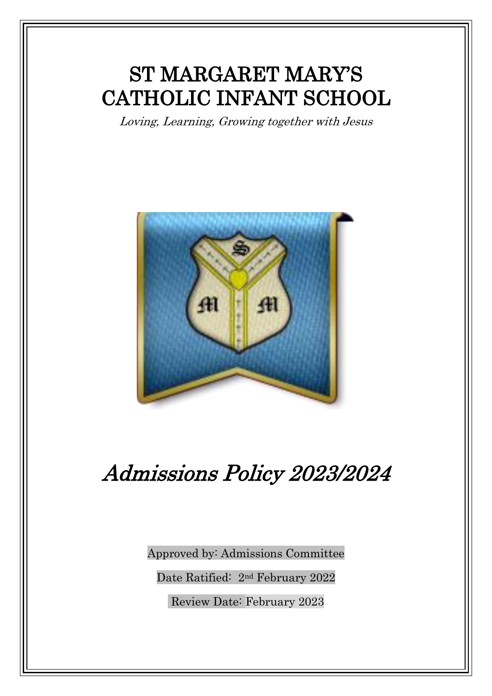## ST MARGARET MARY'S CATHOLIC INFANT SCHOOL

Loving, Learning, Growing together with Jesus



# Admissions Policy 2023/2024

Approved by: Admissions Committee

Date Ratified: 2nd February 2022

Review Date: February 2023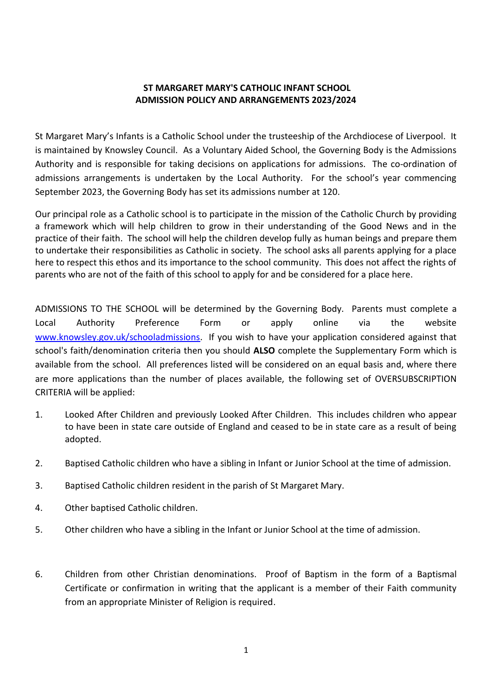#### **ST MARGARET MARY'S CATHOLIC INFANT SCHOOL ADMISSION POLICY AND ARRANGEMENTS 2023/2024**

St Margaret Mary's Infants is a Catholic School under the trusteeship of the Archdiocese of Liverpool. It is maintained by Knowsley Council. As a Voluntary Aided School, the Governing Body is the Admissions Authority and is responsible for taking decisions on applications for admissions. The co-ordination of admissions arrangements is undertaken by the Local Authority. For the school's year commencing September 2023, the Governing Body has set its admissions number at 120.

Our principal role as a Catholic school is to participate in the mission of the Catholic Church by providing a framework which will help children to grow in their understanding of the Good News and in the practice of their faith. The school will help the children develop fully as human beings and prepare them to undertake their responsibilities as Catholic in society. The school asks all parents applying for a place here to respect this ethos and its importance to the school community. This does not affect the rights of parents who are not of the faith of this school to apply for and be considered for a place here.

ADMISSIONS TO THE SCHOOL will be determined by the Governing Body. Parents must complete a Local Authority Preference Form or apply online via the website [www.knowsley.gov.uk/schooladmissions.](http://www.knowsley.gov.uk/schooladmissions) If you wish to have your application considered against that school's faith/denomination criteria then you should **ALSO** complete the Supplementary Form which is available from the school. All preferences listed will be considered on an equal basis and, where there are more applications than the number of places available, the following set of OVERSUBSCRIPTION CRITERIA will be applied:

- 1. Looked After Children and previously Looked After Children. This includes children who appear to have been in state care outside of England and ceased to be in state care as a result of being adopted.
- 2. Baptised Catholic children who have a sibling in Infant or Junior School at the time of admission.
- 3. Baptised Catholic children resident in the parish of St Margaret Mary.
- 4. Other baptised Catholic children.
- 5. Other children who have a sibling in the Infant or Junior School at the time of admission.
- 6. Children from other Christian denominations. Proof of Baptism in the form of a Baptismal Certificate or confirmation in writing that the applicant is a member of their Faith community from an appropriate Minister of Religion is required.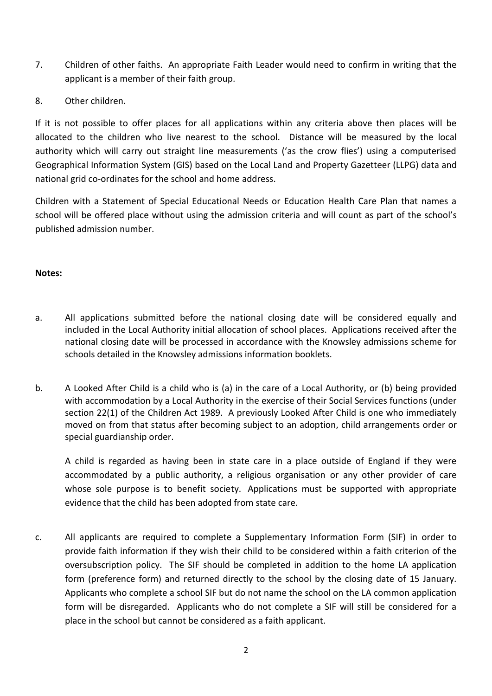- 7. Children of other faiths. An appropriate Faith Leader would need to confirm in writing that the applicant is a member of their faith group.
- 8. Other children.

If it is not possible to offer places for all applications within any criteria above then places will be allocated to the children who live nearest to the school. Distance will be measured by the local authority which will carry out straight line measurements ('as the crow flies') using a computerised Geographical Information System (GIS) based on the Local Land and Property Gazetteer (LLPG) data and national grid co-ordinates for the school and home address.

Children with a Statement of Special Educational Needs or Education Health Care Plan that names a school will be offered place without using the admission criteria and will count as part of the school's published admission number.

### **Notes:**

- a. All applications submitted before the national closing date will be considered equally and included in the Local Authority initial allocation of school places. Applications received after the national closing date will be processed in accordance with the Knowsley admissions scheme for schools detailed in the Knowsley admissions information booklets.
- b. A Looked After Child is a child who is (a) in the care of a Local Authority, or (b) being provided with accommodation by a Local Authority in the exercise of their Social Services functions (under section 22(1) of the Children Act 1989. A previously Looked After Child is one who immediately moved on from that status after becoming subject to an adoption, child arrangements order or special guardianship order.

A child is regarded as having been in state care in a place outside of England if they were accommodated by a public authority, a religious organisation or any other provider of care whose sole purpose is to benefit society. Applications must be supported with appropriate evidence that the child has been adopted from state care.

c. All applicants are required to complete a Supplementary Information Form (SIF) in order to provide faith information if they wish their child to be considered within a faith criterion of the oversubscription policy. The SIF should be completed in addition to the home LA application form (preference form) and returned directly to the school by the closing date of 15 January. Applicants who complete a school SIF but do not name the school on the LA common application form will be disregarded. Applicants who do not complete a SIF will still be considered for a place in the school but cannot be considered as a faith applicant.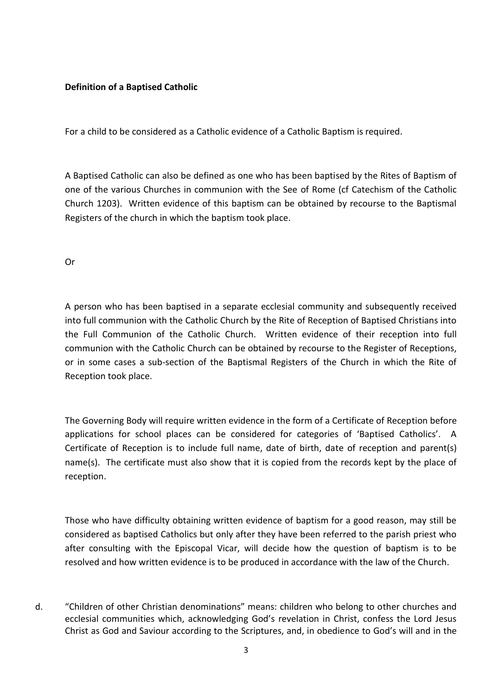#### **Definition of a Baptised Catholic**

For a child to be considered as a Catholic evidence of a Catholic Baptism is required.

A Baptised Catholic can also be defined as one who has been baptised by the Rites of Baptism of one of the various Churches in communion with the See of Rome (cf Catechism of the Catholic Church 1203). Written evidence of this baptism can be obtained by recourse to the Baptismal Registers of the church in which the baptism took place.

Or

A person who has been baptised in a separate ecclesial community and subsequently received into full communion with the Catholic Church by the Rite of Reception of Baptised Christians into the Full Communion of the Catholic Church. Written evidence of their reception into full communion with the Catholic Church can be obtained by recourse to the Register of Receptions, or in some cases a sub-section of the Baptismal Registers of the Church in which the Rite of Reception took place.

The Governing Body will require written evidence in the form of a Certificate of Reception before applications for school places can be considered for categories of 'Baptised Catholics'. A Certificate of Reception is to include full name, date of birth, date of reception and parent(s) name(s). The certificate must also show that it is copied from the records kept by the place of reception.

Those who have difficulty obtaining written evidence of baptism for a good reason, may still be considered as baptised Catholics but only after they have been referred to the parish priest who after consulting with the Episcopal Vicar, will decide how the question of baptism is to be resolved and how written evidence is to be produced in accordance with the law of the Church.

d. "Children of other Christian denominations" means: children who belong to other churches and ecclesial communities which, acknowledging God's revelation in Christ, confess the Lord Jesus Christ as God and Saviour according to the Scriptures, and, in obedience to God's will and in the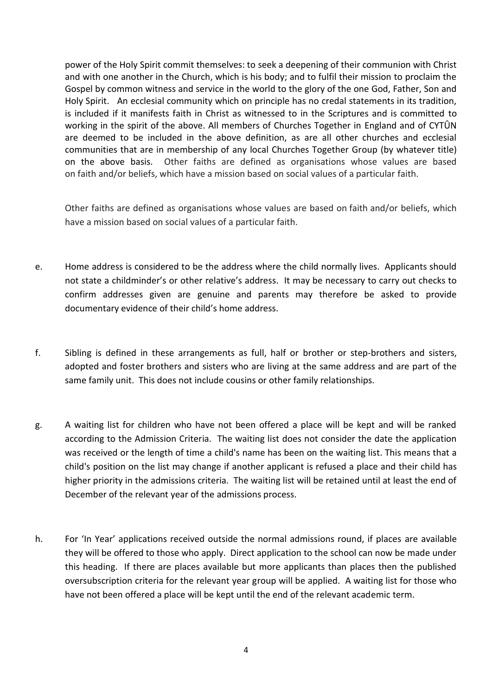power of the Holy Spirit commit themselves: to seek a deepening of their communion with Christ and with one another in the Church, which is his body; and to fulfil their mission to proclaim the Gospel by common witness and service in the world to the glory of the one God, Father, Son and Holy Spirit. An ecclesial community which on principle has no credal statements in its tradition, is included if it manifests faith in Christ as witnessed to in the Scriptures and is committed to working in the spirit of the above. All members of Churches Together in England and of CYTÛN are deemed to be included in the above definition, as are all other churches and ecclesial communities that are in membership of any local Churches Together Group (by whatever title) on the above basis. Other faiths are defined as organisations whose values are based on faith and/or beliefs, which have a mission based on social values of a particular faith.

Other faiths are defined as organisations whose values are based on faith and/or beliefs, which have a mission based on social values of a particular faith.

- e. Home address is considered to be the address where the child normally lives. Applicants should not state a childminder's or other relative's address. It may be necessary to carry out checks to confirm addresses given are genuine and parents may therefore be asked to provide documentary evidence of their child's home address.
- f. Sibling is defined in these arrangements as full, half or brother or step-brothers and sisters, adopted and foster brothers and sisters who are living at the same address and are part of the same family unit. This does not include cousins or other family relationships.
- g. A waiting list for children who have not been offered a place will be kept and will be ranked according to the Admission Criteria. The waiting list does not consider the date the application was received or the length of time a child's name has been on the waiting list. This means that a child's position on the list may change if another applicant is refused a place and their child has higher priority in the admissions criteria. The waiting list will be retained until at least the end of December of the relevant year of the admissions process.
- h. For 'In Year' applications received outside the normal admissions round, if places are available they will be offered to those who apply. Direct application to the school can now be made under this heading. If there are places available but more applicants than places then the published oversubscription criteria for the relevant year group will be applied. A waiting list for those who have not been offered a place will be kept until the end of the relevant academic term.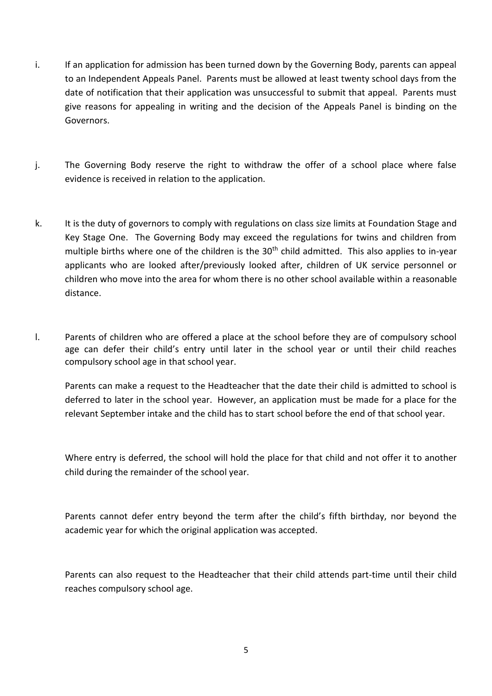- i. If an application for admission has been turned down by the Governing Body, parents can appeal to an Independent Appeals Panel. Parents must be allowed at least twenty school days from the date of notification that their application was unsuccessful to submit that appeal. Parents must give reasons for appealing in writing and the decision of the Appeals Panel is binding on the Governors.
- j. The Governing Body reserve the right to withdraw the offer of a school place where false evidence is received in relation to the application.
- k. It is the duty of governors to comply with regulations on class size limits at Foundation Stage and Key Stage One. The Governing Body may exceed the regulations for twins and children from multiple births where one of the children is the 30<sup>th</sup> child admitted. This also applies to in-year applicants who are looked after/previously looked after, children of UK service personnel or children who move into the area for whom there is no other school available within a reasonable distance.
- l. Parents of children who are offered a place at the school before they are of compulsory school age can defer their child's entry until later in the school year or until their child reaches compulsory school age in that school year.

Parents can make a request to the Headteacher that the date their child is admitted to school is deferred to later in the school year. However, an application must be made for a place for the relevant September intake and the child has to start school before the end of that school year.

Where entry is deferred, the school will hold the place for that child and not offer it to another child during the remainder of the school year.

Parents cannot defer entry beyond the term after the child's fifth birthday, nor beyond the academic year for which the original application was accepted.

Parents can also request to the Headteacher that their child attends part-time until their child reaches compulsory school age.